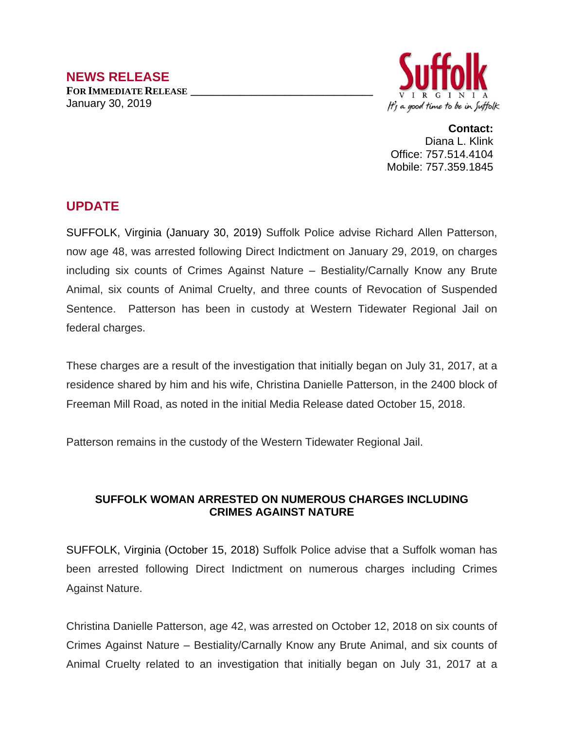

**Contact:** Diana L. Klink Office: 757.514.4104 Mobile: 757.359.1845

## **UPDATE**

SUFFOLK, Virginia (January 30, 2019) Suffolk Police advise Richard Allen Patterson, now age 48, was arrested following Direct Indictment on January 29, 2019, on charges including six counts of Crimes Against Nature – Bestiality/Carnally Know any Brute Animal, six counts of Animal Cruelty, and three counts of Revocation of Suspended Sentence. Patterson has been in custody at Western Tidewater Regional Jail on federal charges.

These charges are a result of the investigation that initially began on July 31, 2017, at a residence shared by him and his wife, Christina Danielle Patterson, in the 2400 block of Freeman Mill Road, as noted in the initial Media Release dated October 15, 2018.

Patterson remains in the custody of the Western Tidewater Regional Jail.

## **SUFFOLK WOMAN ARRESTED ON NUMEROUS CHARGES INCLUDING CRIMES AGAINST NATURE**

SUFFOLK, Virginia (October 15, 2018) Suffolk Police advise that a Suffolk woman has been arrested following Direct Indictment on numerous charges including Crimes Against Nature.

Christina Danielle Patterson, age 42, was arrested on October 12, 2018 on six counts of Crimes Against Nature – Bestiality/Carnally Know any Brute Animal, and six counts of Animal Cruelty related to an investigation that initially began on July 31, 2017 at a